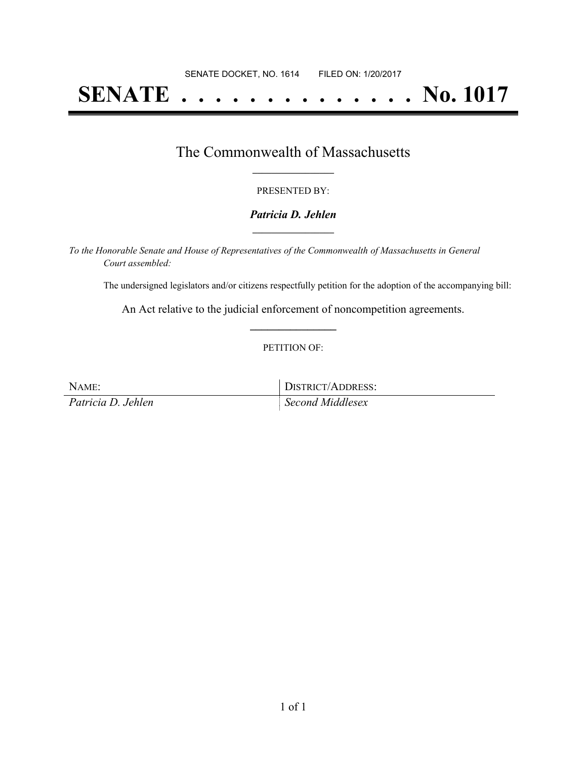# **SENATE . . . . . . . . . . . . . . No. 1017**

### The Commonwealth of Massachusetts **\_\_\_\_\_\_\_\_\_\_\_\_\_\_\_\_\_**

#### PRESENTED BY:

#### *Patricia D. Jehlen* **\_\_\_\_\_\_\_\_\_\_\_\_\_\_\_\_\_**

*To the Honorable Senate and House of Representatives of the Commonwealth of Massachusetts in General Court assembled:*

The undersigned legislators and/or citizens respectfully petition for the adoption of the accompanying bill:

An Act relative to the judicial enforcement of noncompetition agreements. **\_\_\_\_\_\_\_\_\_\_\_\_\_\_\_**

#### PETITION OF:

NAME: DISTRICT/ADDRESS:

*Patricia D. Jehlen Second Middlesex*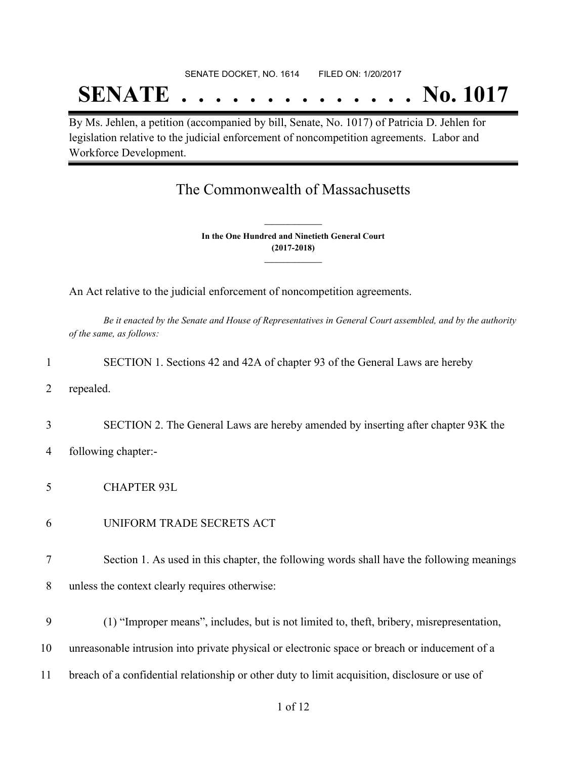#### SENATE DOCKET, NO. 1614 FILED ON: 1/20/2017

## **SENATE . . . . . . . . . . . . . . No. 1017**

By Ms. Jehlen, a petition (accompanied by bill, Senate, No. 1017) of Patricia D. Jehlen for legislation relative to the judicial enforcement of noncompetition agreements. Labor and Workforce Development.

### The Commonwealth of Massachusetts

**In the One Hundred and Ninetieth General Court (2017-2018) \_\_\_\_\_\_\_\_\_\_\_\_\_\_\_**

**\_\_\_\_\_\_\_\_\_\_\_\_\_\_\_**

An Act relative to the judicial enforcement of noncompetition agreements.

Be it enacted by the Senate and House of Representatives in General Court assembled, and by the authority *of the same, as follows:*

| 1  | SECTION 1. Sections 42 and 42A of chapter 93 of the General Laws are hereby                    |
|----|------------------------------------------------------------------------------------------------|
| 2  | repealed.                                                                                      |
| 3  | SECTION 2. The General Laws are hereby amended by inserting after chapter 93K the              |
| 4  | following chapter:-                                                                            |
| 5  | <b>CHAPTER 93L</b>                                                                             |
| 6  | UNIFORM TRADE SECRETS ACT                                                                      |
| 7  | Section 1. As used in this chapter, the following words shall have the following meanings      |
| 8  | unless the context clearly requires otherwise:                                                 |
| 9  | (1) "Improper means", includes, but is not limited to, theft, bribery, misrepresentation,      |
| 10 | unreasonable intrusion into private physical or electronic space or breach or inducement of a  |
| 11 | breach of a confidential relationship or other duty to limit acquisition, disclosure or use of |
|    | 1 of 12                                                                                        |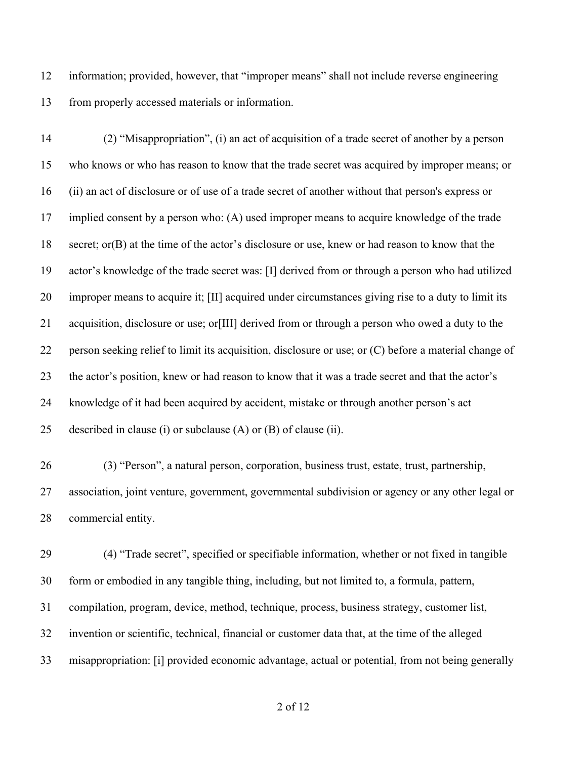information; provided, however, that "improper means" shall not include reverse engineering from properly accessed materials or information.

 (2) "Misappropriation", (i) an act of acquisition of a trade secret of another by a person who knows or who has reason to know that the trade secret was acquired by improper means; or (ii) an act of disclosure or of use of a trade secret of another without that person's express or implied consent by a person who: (A) used improper means to acquire knowledge of the trade secret; or(B) at the time of the actor's disclosure or use, knew or had reason to know that the actor's knowledge of the trade secret was: [I] derived from or through a person who had utilized improper means to acquire it; [II] acquired under circumstances giving rise to a duty to limit its acquisition, disclosure or use; or[III] derived from or through a person who owed a duty to the person seeking relief to limit its acquisition, disclosure or use; or (C) before a material change of the actor's position, knew or had reason to know that it was a trade secret and that the actor's knowledge of it had been acquired by accident, mistake or through another person's act described in clause (i) or subclause (A) or (B) of clause (ii).

 (3) "Person", a natural person, corporation, business trust, estate, trust, partnership, association, joint venture, government, governmental subdivision or agency or any other legal or commercial entity.

 (4) "Trade secret", specified or specifiable information, whether or not fixed in tangible form or embodied in any tangible thing, including, but not limited to, a formula, pattern, compilation, program, device, method, technique, process, business strategy, customer list, invention or scientific, technical, financial or customer data that, at the time of the alleged misappropriation: [i] provided economic advantage, actual or potential, from not being generally

of 12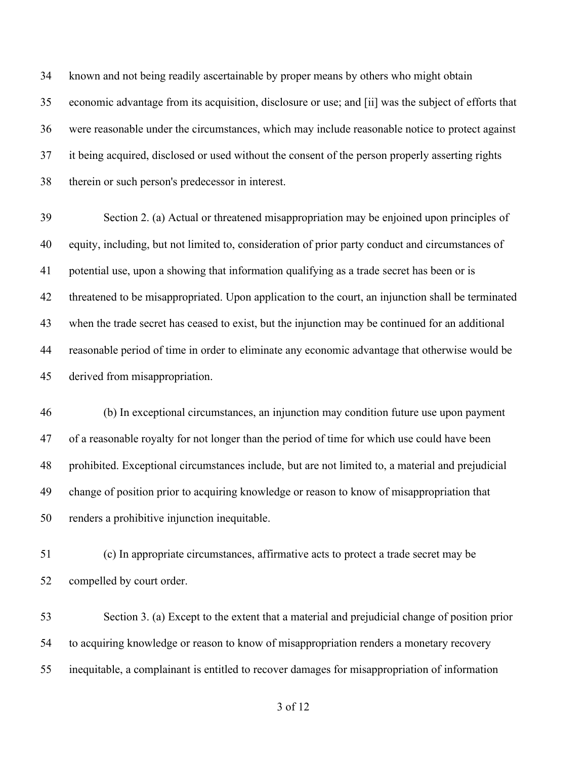known and not being readily ascertainable by proper means by others who might obtain economic advantage from its acquisition, disclosure or use; and [ii] was the subject of efforts that were reasonable under the circumstances, which may include reasonable notice to protect against it being acquired, disclosed or used without the consent of the person properly asserting rights therein or such person's predecessor in interest.

 Section 2. (a) Actual or threatened misappropriation may be enjoined upon principles of equity, including, but not limited to, consideration of prior party conduct and circumstances of potential use, upon a showing that information qualifying as a trade secret has been or is threatened to be misappropriated. Upon application to the court, an injunction shall be terminated when the trade secret has ceased to exist, but the injunction may be continued for an additional reasonable period of time in order to eliminate any economic advantage that otherwise would be derived from misappropriation.

 (b) In exceptional circumstances, an injunction may condition future use upon payment of a reasonable royalty for not longer than the period of time for which use could have been prohibited. Exceptional circumstances include, but are not limited to, a material and prejudicial change of position prior to acquiring knowledge or reason to know of misappropriation that renders a prohibitive injunction inequitable.

 (c) In appropriate circumstances, affirmative acts to protect a trade secret may be compelled by court order.

 Section 3. (a) Except to the extent that a material and prejudicial change of position prior to acquiring knowledge or reason to know of misappropriation renders a monetary recovery inequitable, a complainant is entitled to recover damages for misappropriation of information

of 12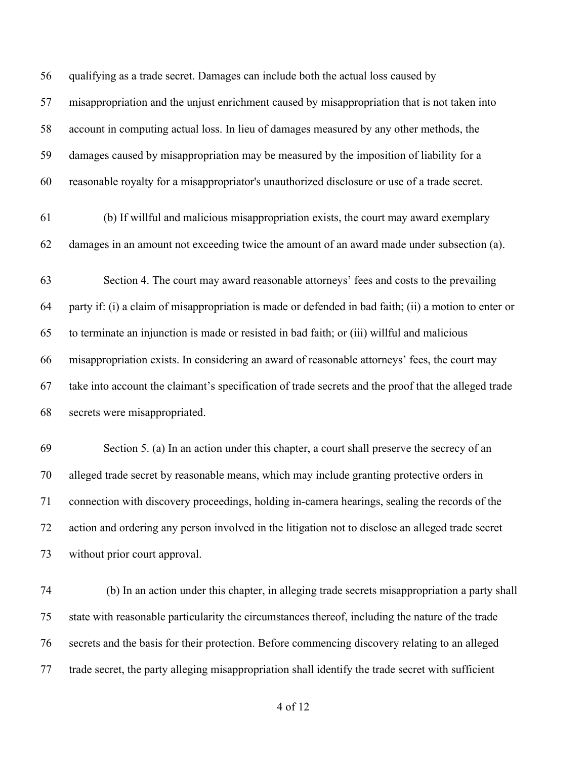qualifying as a trade secret. Damages can include both the actual loss caused by misappropriation and the unjust enrichment caused by misappropriation that is not taken into account in computing actual loss. In lieu of damages measured by any other methods, the damages caused by misappropriation may be measured by the imposition of liability for a reasonable royalty for a misappropriator's unauthorized disclosure or use of a trade secret.

 (b) If willful and malicious misappropriation exists, the court may award exemplary damages in an amount not exceeding twice the amount of an award made under subsection (a).

 Section 4. The court may award reasonable attorneys' fees and costs to the prevailing party if: (i) a claim of misappropriation is made or defended in bad faith; (ii) a motion to enter or to terminate an injunction is made or resisted in bad faith; or (iii) willful and malicious misappropriation exists. In considering an award of reasonable attorneys' fees, the court may take into account the claimant's specification of trade secrets and the proof that the alleged trade secrets were misappropriated.

 Section 5. (a) In an action under this chapter, a court shall preserve the secrecy of an alleged trade secret by reasonable means, which may include granting protective orders in connection with discovery proceedings, holding in-camera hearings, sealing the records of the action and ordering any person involved in the litigation not to disclose an alleged trade secret without prior court approval.

 (b) In an action under this chapter, in alleging trade secrets misappropriation a party shall state with reasonable particularity the circumstances thereof, including the nature of the trade secrets and the basis for their protection. Before commencing discovery relating to an alleged trade secret, the party alleging misappropriation shall identify the trade secret with sufficient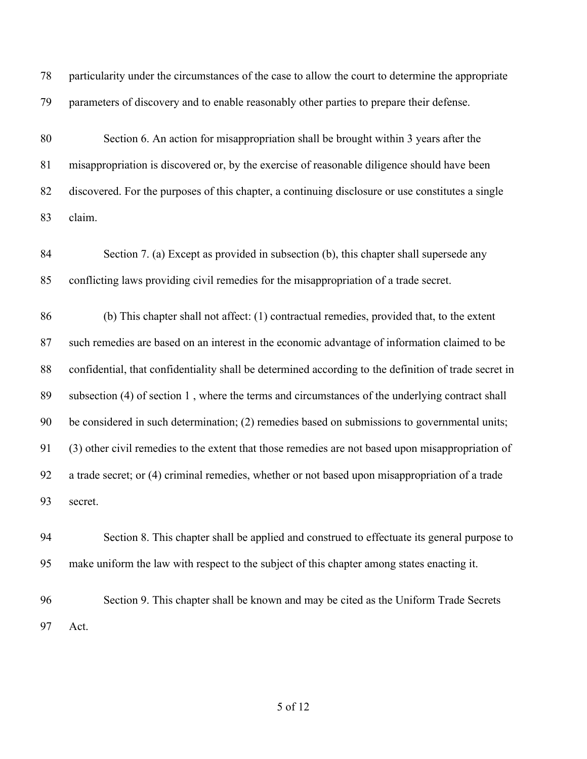particularity under the circumstances of the case to allow the court to determine the appropriate parameters of discovery and to enable reasonably other parties to prepare their defense.

 Section 6. An action for misappropriation shall be brought within 3 years after the misappropriation is discovered or, by the exercise of reasonable diligence should have been discovered. For the purposes of this chapter, a continuing disclosure or use constitutes a single claim.

 Section 7. (a) Except as provided in subsection (b), this chapter shall supersede any conflicting laws providing civil remedies for the misappropriation of a trade secret.

 (b) This chapter shall not affect: (1) contractual remedies, provided that, to the extent such remedies are based on an interest in the economic advantage of information claimed to be confidential, that confidentiality shall be determined according to the definition of trade secret in subsection (4) of section 1 , where the terms and circumstances of the underlying contract shall be considered in such determination; (2) remedies based on submissions to governmental units; (3) other civil remedies to the extent that those remedies are not based upon misappropriation of a trade secret; or (4) criminal remedies, whether or not based upon misappropriation of a trade secret.

 Section 8. This chapter shall be applied and construed to effectuate its general purpose to make uniform the law with respect to the subject of this chapter among states enacting it.

 Section 9. This chapter shall be known and may be cited as the Uniform Trade Secrets Act.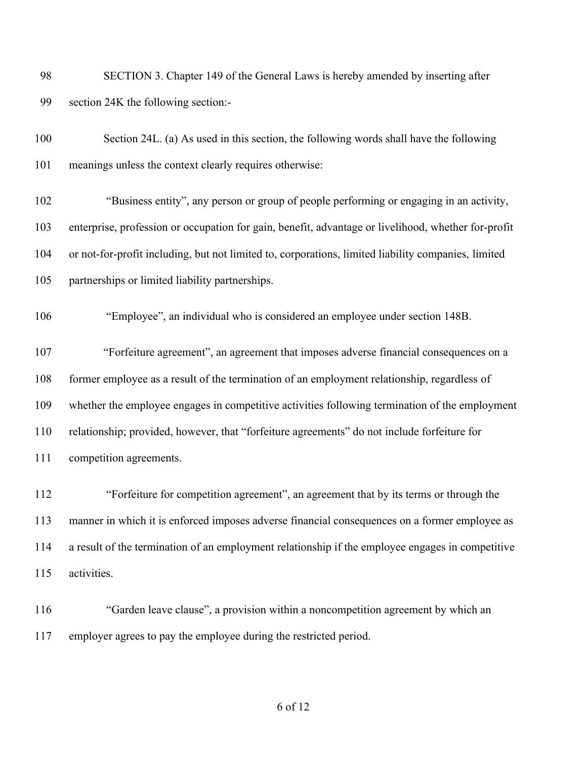| -98 | SECTION 3. Chapter 149 of the General Laws is hereby amended by inserting after |
|-----|---------------------------------------------------------------------------------|
| 99  | section 24K the following section:-                                             |

 Section 24L. (a) As used in this section, the following words shall have the following meanings unless the context clearly requires otherwise:

 "Business entity", any person or group of people performing or engaging in an activity, enterprise, profession or occupation for gain, benefit, advantage or livelihood, whether for-profit or not-for-profit including, but not limited to, corporations, limited liability companies, limited partnerships or limited liability partnerships.

"Employee", an individual who is considered an employee under section 148B.

 "Forfeiture agreement", an agreement that imposes adverse financial consequences on a former employee as a result of the termination of an employment relationship, regardless of whether the employee engages in competitive activities following termination of the employment relationship; provided, however, that "forfeiture agreements" do not include forfeiture for competition agreements.

 "Forfeiture for competition agreement", an agreement that by its terms or through the manner in which it is enforced imposes adverse financial consequences on a former employee as a result of the termination of an employment relationship if the employee engages in competitive activities.

 "Garden leave clause", a provision within a noncompetition agreement by which an employer agrees to pay the employee during the restricted period.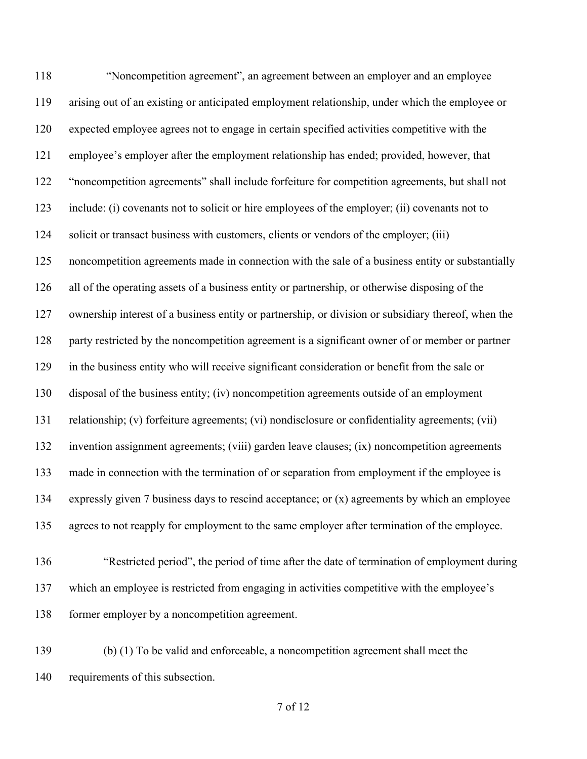"Noncompetition agreement", an agreement between an employer and an employee arising out of an existing or anticipated employment relationship, under which the employee or expected employee agrees not to engage in certain specified activities competitive with the employee's employer after the employment relationship has ended; provided, however, that "noncompetition agreements" shall include forfeiture for competition agreements, but shall not include: (i) covenants not to solicit or hire employees of the employer; (ii) covenants not to solicit or transact business with customers, clients or vendors of the employer; (iii) noncompetition agreements made in connection with the sale of a business entity or substantially all of the operating assets of a business entity or partnership, or otherwise disposing of the ownership interest of a business entity or partnership, or division or subsidiary thereof, when the 128 party restricted by the noncompetition agreement is a significant owner of or member or partner in the business entity who will receive significant consideration or benefit from the sale or disposal of the business entity; (iv) noncompetition agreements outside of an employment relationship; (v) forfeiture agreements; (vi) nondisclosure or confidentiality agreements; (vii) invention assignment agreements; (viii) garden leave clauses; (ix) noncompetition agreements made in connection with the termination of or separation from employment if the employee is expressly given 7 business days to rescind acceptance; or (x) agreements by which an employee agrees to not reapply for employment to the same employer after termination of the employee.

- "Restricted period", the period of time after the date of termination of employment during which an employee is restricted from engaging in activities competitive with the employee's former employer by a noncompetition agreement.
- (b) (1) To be valid and enforceable, a noncompetition agreement shall meet the requirements of this subsection.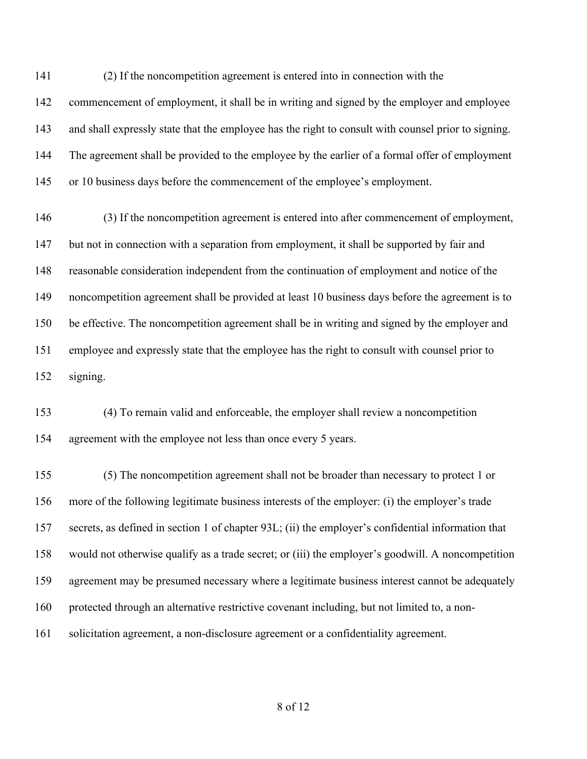(2) If the noncompetition agreement is entered into in connection with the commencement of employment, it shall be in writing and signed by the employer and employee and shall expressly state that the employee has the right to consult with counsel prior to signing. The agreement shall be provided to the employee by the earlier of a formal offer of employment 145 or 10 business days before the commencement of the employee's employment.

 (3) If the noncompetition agreement is entered into after commencement of employment, but not in connection with a separation from employment, it shall be supported by fair and reasonable consideration independent from the continuation of employment and notice of the noncompetition agreement shall be provided at least 10 business days before the agreement is to be effective. The noncompetition agreement shall be in writing and signed by the employer and employee and expressly state that the employee has the right to consult with counsel prior to signing.

 (4) To remain valid and enforceable, the employer shall review a noncompetition agreement with the employee not less than once every 5 years.

 (5) The noncompetition agreement shall not be broader than necessary to protect 1 or more of the following legitimate business interests of the employer: (i) the employer's trade secrets, as defined in section 1 of chapter 93L; (ii) the employer's confidential information that would not otherwise qualify as a trade secret; or (iii) the employer's goodwill. A noncompetition agreement may be presumed necessary where a legitimate business interest cannot be adequately protected through an alternative restrictive covenant including, but not limited to, a non-solicitation agreement, a non-disclosure agreement or a confidentiality agreement.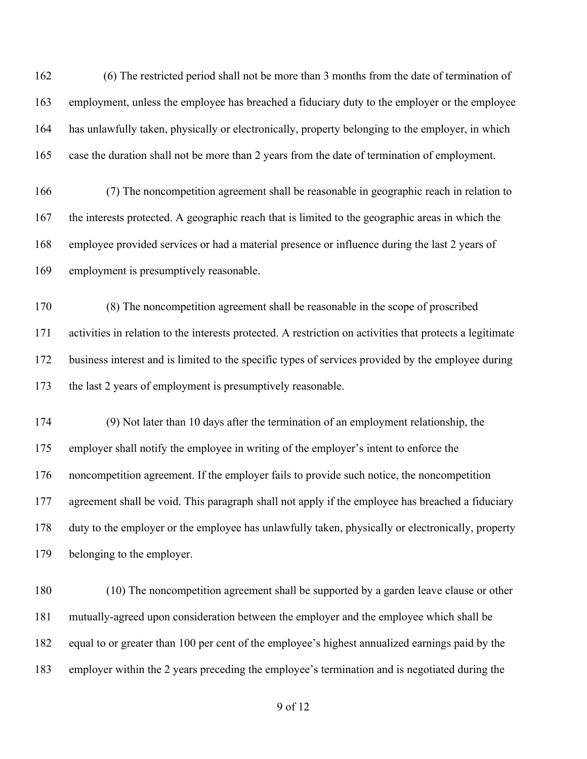(6) The restricted period shall not be more than 3 months from the date of termination of employment, unless the employee has breached a fiduciary duty to the employer or the employee has unlawfully taken, physically or electronically, property belonging to the employer, in which case the duration shall not be more than 2 years from the date of termination of employment.

 (7) The noncompetition agreement shall be reasonable in geographic reach in relation to the interests protected. A geographic reach that is limited to the geographic areas in which the employee provided services or had a material presence or influence during the last 2 years of employment is presumptively reasonable.

 (8) The noncompetition agreement shall be reasonable in the scope of proscribed activities in relation to the interests protected. A restriction on activities that protects a legitimate business interest and is limited to the specific types of services provided by the employee during the last 2 years of employment is presumptively reasonable.

 (9) Not later than 10 days after the termination of an employment relationship, the employer shall notify the employee in writing of the employer's intent to enforce the noncompetition agreement. If the employer fails to provide such notice, the noncompetition 177 agreement shall be void. This paragraph shall not apply if the employee has breached a fiduciary duty to the employer or the employee has unlawfully taken, physically or electronically, property belonging to the employer.

 (10) The noncompetition agreement shall be supported by a garden leave clause or other mutually-agreed upon consideration between the employer and the employee which shall be equal to or greater than 100 per cent of the employee's highest annualized earnings paid by the employer within the 2 years preceding the employee's termination and is negotiated during the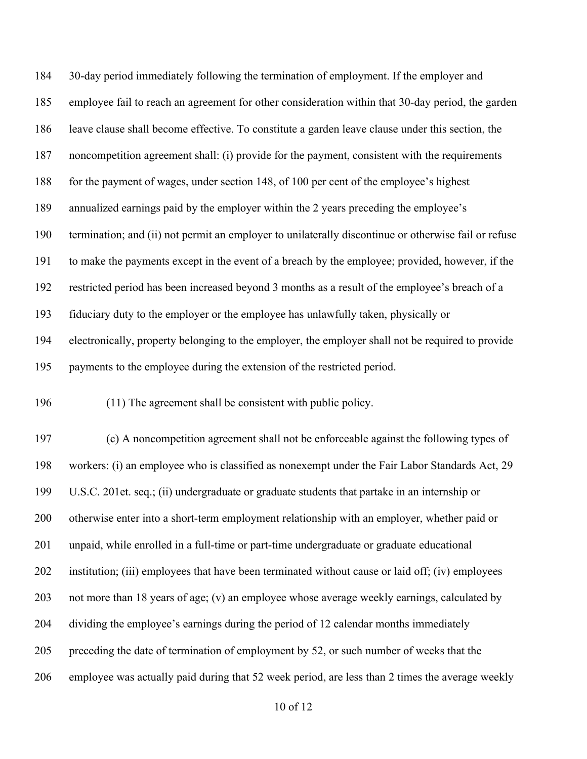30-day period immediately following the termination of employment. If the employer and employee fail to reach an agreement for other consideration within that 30-day period, the garden leave clause shall become effective. To constitute a garden leave clause under this section, the noncompetition agreement shall: (i) provide for the payment, consistent with the requirements 188 for the payment of wages, under section 148, of 100 per cent of the employee's highest annualized earnings paid by the employer within the 2 years preceding the employee's termination; and (ii) not permit an employer to unilaterally discontinue or otherwise fail or refuse to make the payments except in the event of a breach by the employee; provided, however, if the restricted period has been increased beyond 3 months as a result of the employee's breach of a fiduciary duty to the employer or the employee has unlawfully taken, physically or electronically, property belonging to the employer, the employer shall not be required to provide payments to the employee during the extension of the restricted period.

(11) The agreement shall be consistent with public policy.

 (c) A noncompetition agreement shall not be enforceable against the following types of workers: (i) an employee who is classified as nonexempt under the Fair Labor Standards Act, 29 U.S.C. 201et. seq.; (ii) undergraduate or graduate students that partake in an internship or otherwise enter into a short-term employment relationship with an employer, whether paid or unpaid, while enrolled in a full-time or part-time undergraduate or graduate educational institution; (iii) employees that have been terminated without cause or laid off; (iv) employees not more than 18 years of age; (v) an employee whose average weekly earnings, calculated by dividing the employee's earnings during the period of 12 calendar months immediately preceding the date of termination of employment by 52, or such number of weeks that the employee was actually paid during that 52 week period, are less than 2 times the average weekly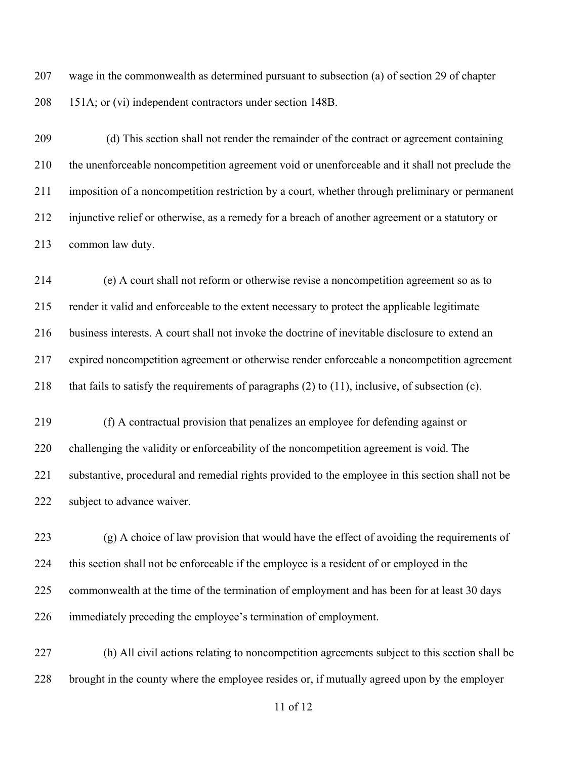wage in the commonwealth as determined pursuant to subsection (a) of section 29 of chapter 151A; or (vi) independent contractors under section 148B.

 (d) This section shall not render the remainder of the contract or agreement containing the unenforceable noncompetition agreement void or unenforceable and it shall not preclude the imposition of a noncompetition restriction by a court, whether through preliminary or permanent injunctive relief or otherwise, as a remedy for a breach of another agreement or a statutory or common law duty.

 (e) A court shall not reform or otherwise revise a noncompetition agreement so as to render it valid and enforceable to the extent necessary to protect the applicable legitimate business interests. A court shall not invoke the doctrine of inevitable disclosure to extend an expired noncompetition agreement or otherwise render enforceable a noncompetition agreement that fails to satisfy the requirements of paragraphs (2) to (11), inclusive, of subsection (c).

 (f) A contractual provision that penalizes an employee for defending against or challenging the validity or enforceability of the noncompetition agreement is void. The substantive, procedural and remedial rights provided to the employee in this section shall not be 222 subject to advance waiver.

 (g) A choice of law provision that would have the effect of avoiding the requirements of this section shall not be enforceable if the employee is a resident of or employed in the commonwealth at the time of the termination of employment and has been for at least 30 days immediately preceding the employee's termination of employment.

 (h) All civil actions relating to noncompetition agreements subject to this section shall be brought in the county where the employee resides or, if mutually agreed upon by the employer